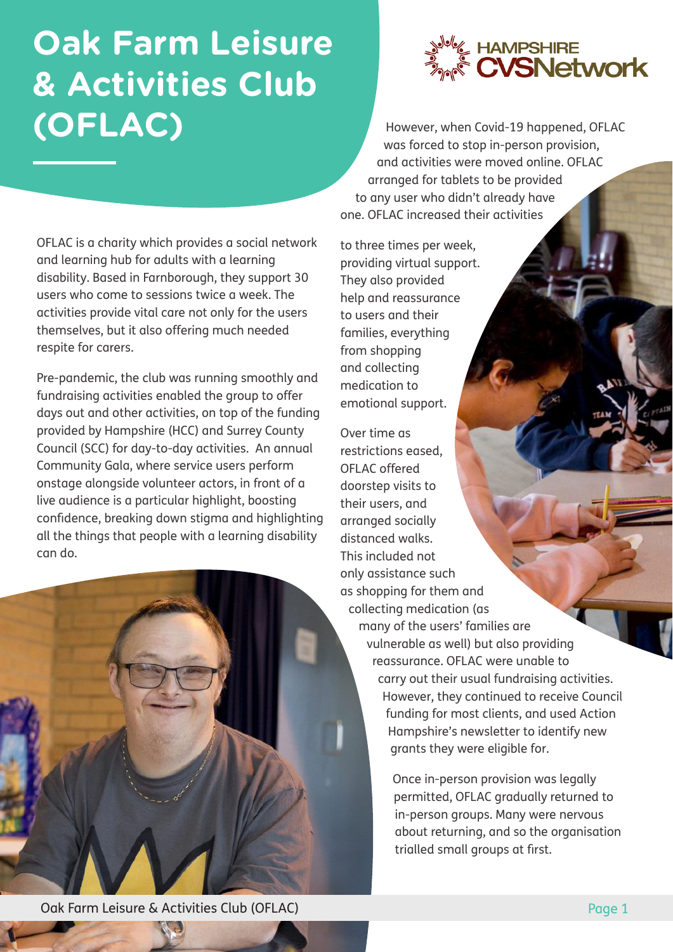## **Oak Farm Leisure & Activities Club (OFLAC)**



Pre-pandemic, the club was running smoothly and fundraising activities enabled the group to offer days out and other activities, on top of the funding provided by Hampshire (HCC) and Surrey County Council (SCC) for day-to-day activities. An annual Community Gala, where service users perform onstage alongside volunteer actors, in front of a live audience is a particular highlight, boosting confidence, breaking down stigma and highlighting all the things that people with a learning disability can do.





However, when Covid-19 happened, OFLAC was forced to stop in-person provision, and activities were moved online. OFLAC arranged for tablets to be provided to any user who didn't already have one. OFLAC increased their activities

to three times per week, providing virtual support. They also provided help and reassurance to users and their families, everything from shopping and collecting medication to emotional support.

Over time as restrictions eased, OFLAC offered doorstep visits to their users, and arranged socially distanced walks. This included not only assistance such as shopping for them and collecting medication (as many of the users' families are vulnerable as well) but also providing reassurance. OFLAC were unable to carry out their usual fundraising activities. However, they continued to receive Council funding for most clients, and used Action Hampshire's newsletter to identify new grants they were eligible for.

> Once in-person provision was legally permitted, OFLAC gradually returned to in-person groups. Many were nervous about returning, and so the organisation trialled small groups at first.

Oak Farm Leisure & Activities Club (OFLAC) and the contract of the contract of the Page 1